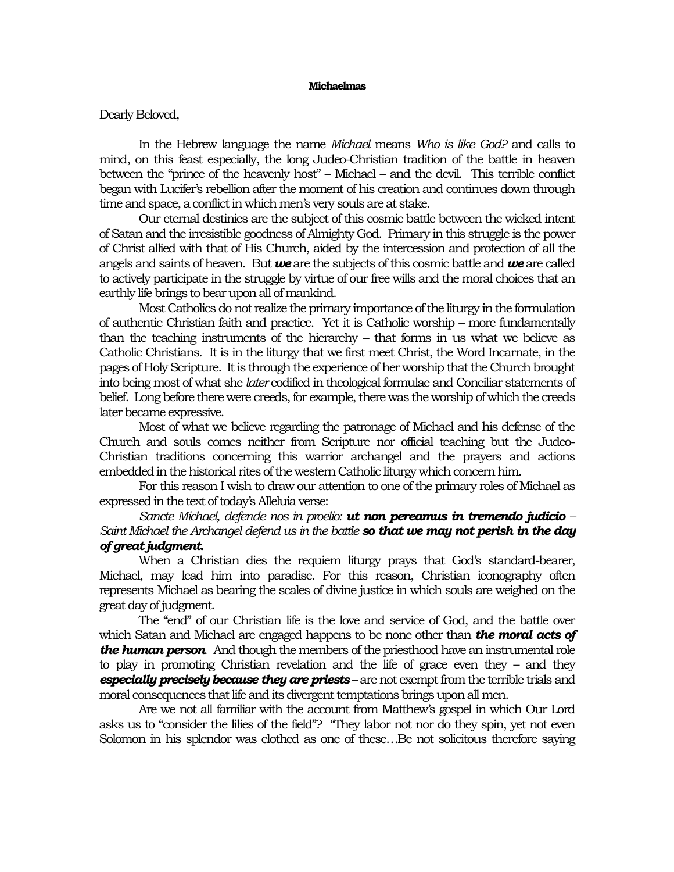## **Michaelmas**

## Dearly Beloved,

In the Hebrew language the name *Michael* means *Who is like God?* and calls to mind, on this feast especially, the long Judeo-Christian tradition of the battle in heaven between the "prince of the heavenly host" – Michael – and the devil. This terrible conflict began with Lucifer's rebellion after the moment of his creation and continues down through time and space, a conflict in which men's very souls are at stake.

Our eternal destinies are the subject of this cosmic battle between the wicked intent of Satan and the irresistible goodness of Almighty God. Primary in this struggle is the power of Christ allied with that of His Church, aided by the intercession and protection of all the angels and saints of heaven. But *we* are the subjects of this cosmic battle and *we* are called to actively participate in the struggle by virtue of our free wills and the moral choices that an earthly life brings to bear upon all of mankind.

Most Catholics do not realize the primary importance of the liturgy in the formulation of authentic Christian faith and practice. Yet it is Catholic worship – more fundamentally than the teaching instruments of the hierarchy – that forms in us what we believe as Catholic Christians. It is in the liturgy that we first meet Christ, the Word Incarnate, in the pages of Holy Scripture. It is through the experience of her worship that the Church brought into being most of what she *later* codified in theological formulae and Conciliar statements of belief. Long before there were creeds, for example, there was the worship of which the creeds later became expressive.

Most of what we believe regarding the patronage of Michael and his defense of the Church and souls comes neither from Scripture nor official teaching but the Judeo-Christian traditions concerning this warrior archangel and the prayers and actions embedded in the historical rites of the western Catholic liturgywhich concern him.

For this reason I wish to draw our attention to one of the primary roles of Michael as expressed in the text of today's Alleluia verse:

*Sancte Michael, defende nos in proelio: ut non pereamus in tremendo judicio – Saint Michael the Archangel defend us in the battle so that we may not perish in the day of great judgment.*

When a Christian dies the requiem liturgy prays that God's standard-bearer, Michael, may lead him into paradise. For this reason, Christian iconography often represents Michael as bearing the scales of divine justice in which souls are weighed on the great day of judgment.

The "end" of our Christian life is the love and service of God, and the battle over which Satan and Michael are engaged happens to be none other than *the moral acts of the human person*. And though the members of the priesthood have an instrumental role to play in promoting Christian revelation and the life of grace even they – and they *especially precisely because they are priests* – are not exempt from the terrible trials and moral consequences that life and its divergent temptations brings upon all men.

Are we not all familiar with the account from Matthew's gospel in which Our Lord asks us to "consider the lilies of the field"? "They labor not nor do they spin, yet not even Solomon in his splendor was clothed as one of these...Be not solicitous therefore saying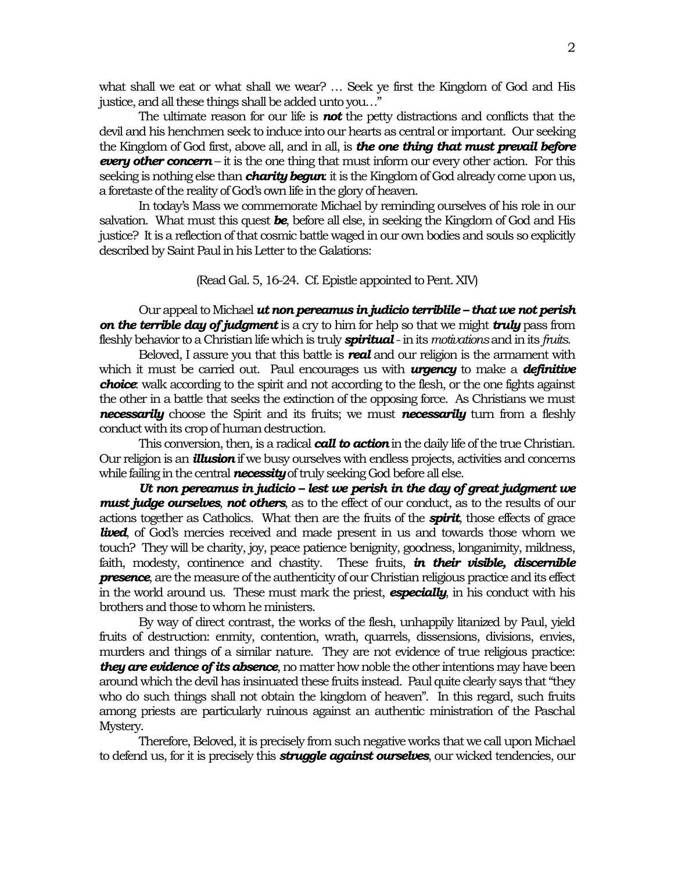what shall we eat or what shall we wear? … Seek ye first the Kingdom of God and His justice, and all these things shall be added unto you…"

The ultimate reason for our life is *not* the petty distractions and conflicts that the devil and his henchmen seek to induce into our hearts as central or important. Our seeking the Kingdom of God first, above all, and in all, is *the one thing that must prevail before every other concern* – it is the one thing that must inform our every other action. For this seeking is nothing else than **charity begun**: it is the Kingdom of God already come upon us, a foretaste of the reality of God's own life in the glory of heaven.

In today's Mass we commemorate Michael by reminding ourselves of his role in our salvation. What must this quest *be*, before all else, in seeking the Kingdom of God and His justice? It is a reflection of that cosmic battle waged in our own bodies and souls so explicitly described by Saint Paul in his Letter to the Galations:

(Read Gal. 5, 16-24. Cf. Epistle appointed to Pent. XIV)

Our appeal to Michael *ut non pereamus in judicio terriblile – that we not perish on the terrible day of judgment* is a cry to him for help so that we might *truly* pass from fleshly behavior to a Christian life which is truly *spiritual* - inits *motivations*and in its *fruits*.

Beloved, I assure you that this battle is *real* and our religion is the armament with which it must be carried out. Paul encourages us with *urgency* to make a *definitive choice*: walk according to the spirit and not according to the flesh, or the one fights against the other in a battle that seeks the extinction of the opposing force. As Christians we must *necessarily* choose the Spirit and its fruits; we must *necessarily* turn from a fleshly conduct with its crop of human destruction.

This conversion, then, is a radical *call to action*in the daily life of the true Christian. Our religion is an *illusion*if we busy ourselves with endless projects, activities and concerns while failing in the central *necessity*of truly seeking God before all else.

*Ut non pereamus in judicio – lest we perish in the day of great judgment we must judge ourselves*, *not others*, as to the effect of our conduct, as to the results of our actions together as Catholics. What then are the fruits of the *spirit*, those effects of grace **lived**, of God's mercies received and made present in us and towards those whom we touch? They will be charity, joy, peace patience benignity, goodness, longanimity, mildness, faith, modesty, continence and chastity. These fruits, *in their visible, discernible presence*, are the measure of the authenticity of our Christian religious practice and its effect in the world around us. These must mark the priest, *especially*, in his conduct with his brothers and those to whom he ministers.

By way of direct contrast, the works of the flesh, unhappily litanized by Paul, yield fruits of destruction: enmity, contention, wrath, quarrels, dissensions, divisions, envies, murders and things of a similar nature. They are not evidence of true religious practice: *they are evidence of its absence*, no matter how noble the other intentions may have been around which the devil has insinuated these fruits instead. Paul quite clearly says that "they who do such things shall not obtain the kingdom of heaven". In this regard, such fruits among priests are particularly ruinous against an authentic ministration of the Paschal Mystery.

Therefore, Beloved, it is precisely from such negative works that we call upon Michael to defend us, for it is precisely this *struggle against ourselves*, our wicked tendencies, our